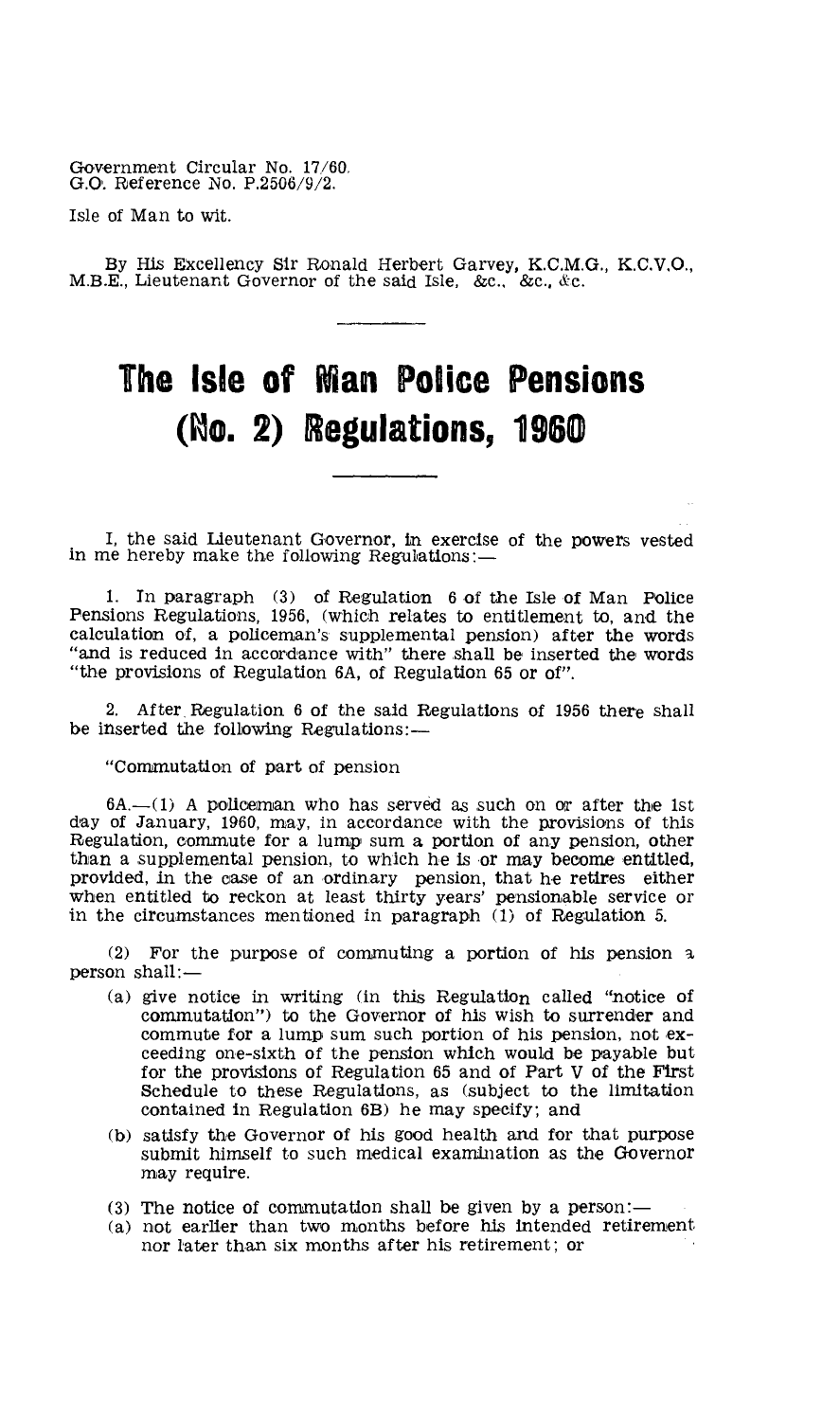Government Circular No. 17/60, G.G. Reference No. P.2506/9/2.

Isle of Man to wit.

By His EXcellency Sir Ronald Herbert Garvey, K.C.M.G., K.C.V,O., M.B.E., Lieutenant Governor of the said Isle, &c., &c., &c.

## **The Isle of Ilan Police Pensions (no. 2) Regulations, 1960**

I, the said Lieutenant Governor, in exercise of the powers vested in me hereby make the following Regulations:—

1. In paragraph (3) of Regulation 6 of the Isle of Man Police Pensions Regulations, 1956, (which relates to entitlement to, and the calculation of, a policeman's supplemental pension) after the words "and is reduced in accordance with" there shall be inserted the words "the provisions of Regulation 6A, of Regulation 65 or of".

2. After. Regulation 6 of the said Regulations of 1956 there shall be inserted the following Regulations:—

"Commutation of part of pension

6A.—(1) A policeman who has served as such on or after the 1st day of January, 1960, may, in accordance with the provisions of this Regulation, commute for a lump sum a portion of any pension, other than a supplemental pension, to which he is or may become entitled, provided, in the case of an ordinary pension, that he retires either when entitled to reckon at least thirty years' pensionable service or in the circumstances mentioned in paragraph (1) of Regulation 5.

(2) For the purpose of commuting a portion of his pension a person shall:—

- (a) give notice in writing (in this Regulation called "notice of commutation") to the Governor of his wish to surrender and commute for a lump sum such portion of his pension, not exceeding one-sixth of the pension which would be payable but for the provisions of Regulation 65 and of Part V of the First Schedule to these Regulations, as (subject to the limitation contained in Regulation 6B) he may specify; and
- (b) satisfy the Governor of his good health and for that purpose submit himself to such medical examination as the Governor may require.
- (3) The notice of commutation shall be given by a person:—
- (a) not earlier than two months before his intended retirement nor later than six months after his retirement; or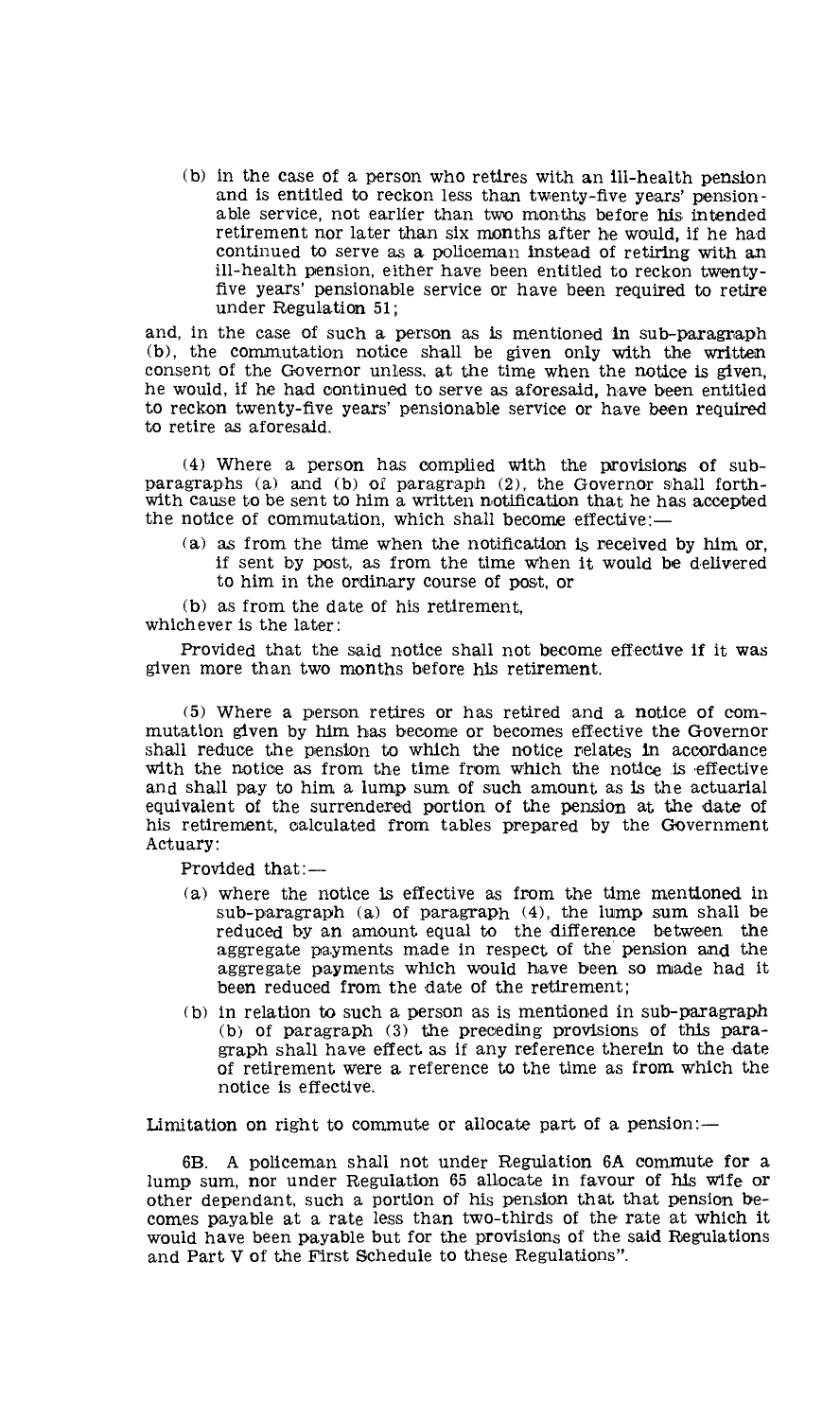(b) in the case of a person who retires with an ill-health pension and is entitled to reckon less than twenty-five years' pensionable service, not earlier than two months before his intended retirement nor later than six months after he would, if he had continued to serve as a policeman instead of retiring with an ill-health pension, either have been entitled to reckon twentyfive years' pensionable service or have been required to retire under Regulation 51;

and, in the case of such a person as is mentioned in sub-paragraph (b), the commutation notice shall be given only with the written consent of the Governor unless, at the time when the notice is given, he would, if he had continued to serve as aforesaid, have been entitled to reckon twenty-five years' pensionable service or have been required to retire as aforesaid.

(4) Where a person has complied with the provisions of subparagraphs (a) and (b) of paragraph (2), the Governor shall forthwith cause to be sent to him a written notification that he has accepted the notice of commutation, which shall become effective:—

(a) as from the time when the notification is received by him or, if sent by post, as from the time when it would be delivered to him in the ordinary course of post, or

(b) as from the date of his retirement, whichever is the later:

Provided that the said notice shall not become effective if it was given more than two months before his retirement.

(5) Where a person retires or has retired and a notice of commutation given by him has become or becomes effective the Governor shall reduce the pension to which the notice relates in accordance with the notice as from the time from which the notice is effective and shall pay to him a lump sum of such amount as is the actuarial equivalent of the surrendered portion of the pension at the date of his retirement, calculated from tables prepared by the Government Actuary:

Provided that:—

- (a) where the notice is effective as from the time mentioned in sub-paragraph (a) of paragraph (4), the lump sum shall be reduced by an amount equal to the difference between the aggregate payments made in respect of the pension and the aggregate payments which would have been so made had it been reduced from the date of the retirement;
- (b) in relation to such a person as is mentioned in sub-paragraph (b) of paragraph (3) the preceding provisions of this paragraph shall have effect as if any reference therein to the date of retirement were a reference to the time as from which the notice is effective.

Limitation on right to commute or allocate part of a pension:—

6B. A policeman shall not under Regulation 6A commute for a lump sum, nor under Regulation 65 allocate in favour of his wife or other dependant, such a portion of his pension that that pension becomes payable at a rate less than two-thirds of the rate at which it would have been payable but for the provisions of the said Regulations and Part V of the First Schedule to these Regulations".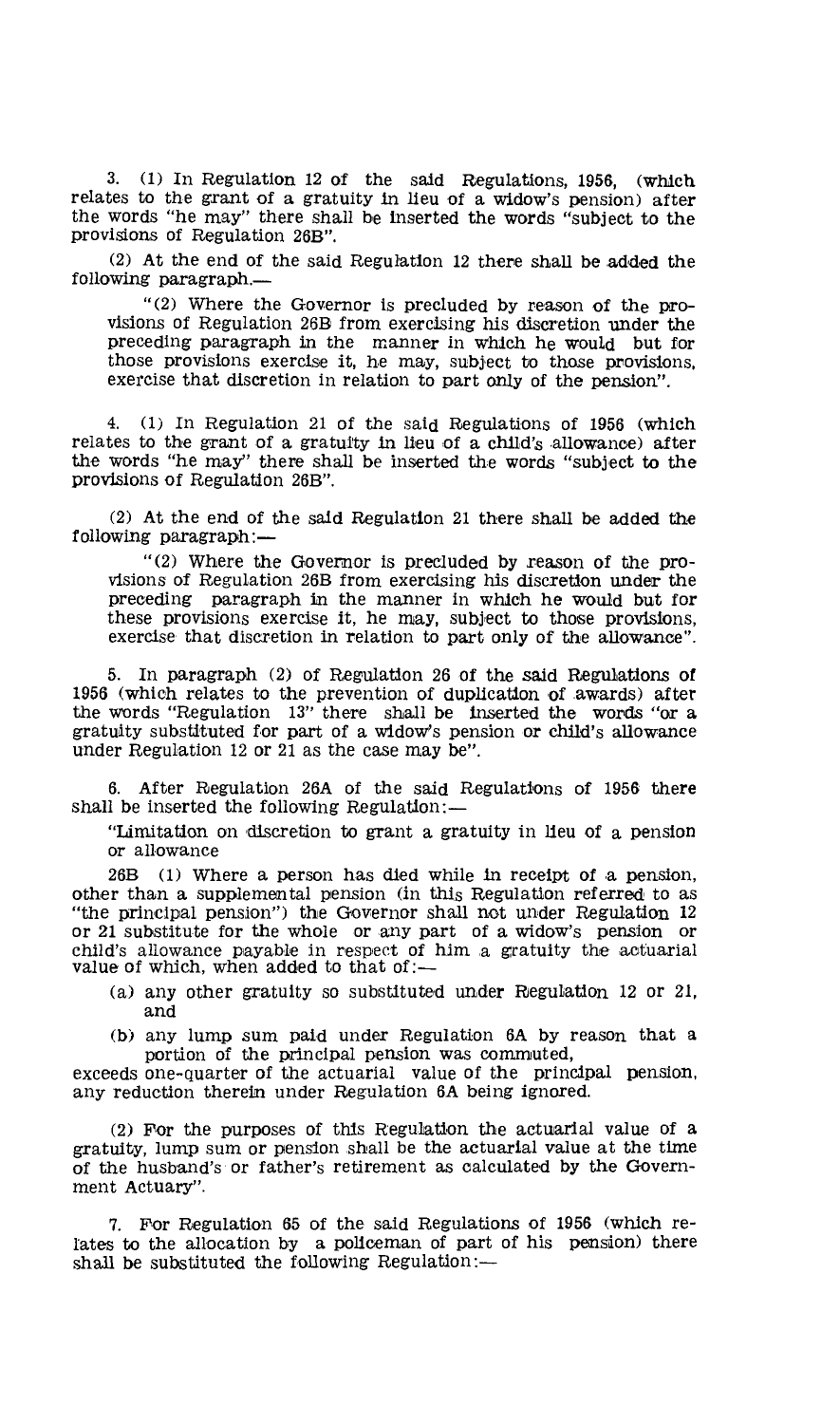3. (1) In Regulation 12 of the said Regulations, 1956, (which relates to the grant of a gratuity in lieu of a widow's pension) after the words "he may" there shall be inserted the words "subject to the provisions of Regulation 26B".

(2) At the end of the said Regulation 12 there shall be added the following paragraph.—

"(2) Where the Governor is precluded by reason of the provisions of Regulation 26B from exercising his discretion under the preceding paragraph in the manner in Which he would but for those provisions exercise it, he may, subject to those provisions, exercise that discretion in relation to part only of the pension".

4. (1) In Regulation 21 of the said Regulations of 1956 (which relates to the grant of a gratuity in lieu of a child's allowance) after the words "he may" there shall be inserted the words "subject to the provisions of Regulation 26B".

(2) At the end of the said Regulation 21 there shall be added the following paragraph:—

"(2) Where the Governor is precluded by reason of the provisions of Regulation 26B from exercising his discretion under the preceding paragraph in the manner in which he would but for these provisions exercise it, he may, subject to those provisions, exercise that discretion in relation to part only of the allowance".

5. In paragraph (2) of Regulation 26 of the said Regulations of 1956 (which relates to the prevention of duplication of awards) after the words "Regulation 13" there shall be inserted the words "or a gratuity substituted for part of a widow's pension or child's allowance under Regulation 12 or 21 as the case may be".

6. After Regulation 26A of the said Regulations of 1956 there shall be inserted the following Regulation:—

"Limitation on 'discretion to grant a gratuity in lieu of a pension or allowance

26B (1) Where a person has died while in receipt of a pension, other than a supplemental pension (in this Regulation referred to as "the principal pension") the Governor shall not under Regulation 12 or 21 substitute for the whole or any part of a widow's pension or child's allowance payable in respect of him a gratuity the actuarial value of which, when added to that of:—

- (a) any other gratuity so substituted under Regulation 12 or 21, and
- (b) any lump sum paid under Regulation 6A by reason that a portion of the principal pension was commuted,

exceeds one-quarter of the actuarial value of the principal pension, any reduction therein under Regulation 6A being ignored.

(2) For the purposes of this Regulation the actuarial value of a gratuity, lump sum or pension shall be the actuarial value at the time of the husband's or father's retirement as calculated by the Government Actuary".

7. For Regulation 65 of the said Regulations of 1956 (which relates to the allocation by a policeman of part of his pension) there shall be substituted the following Regulation:—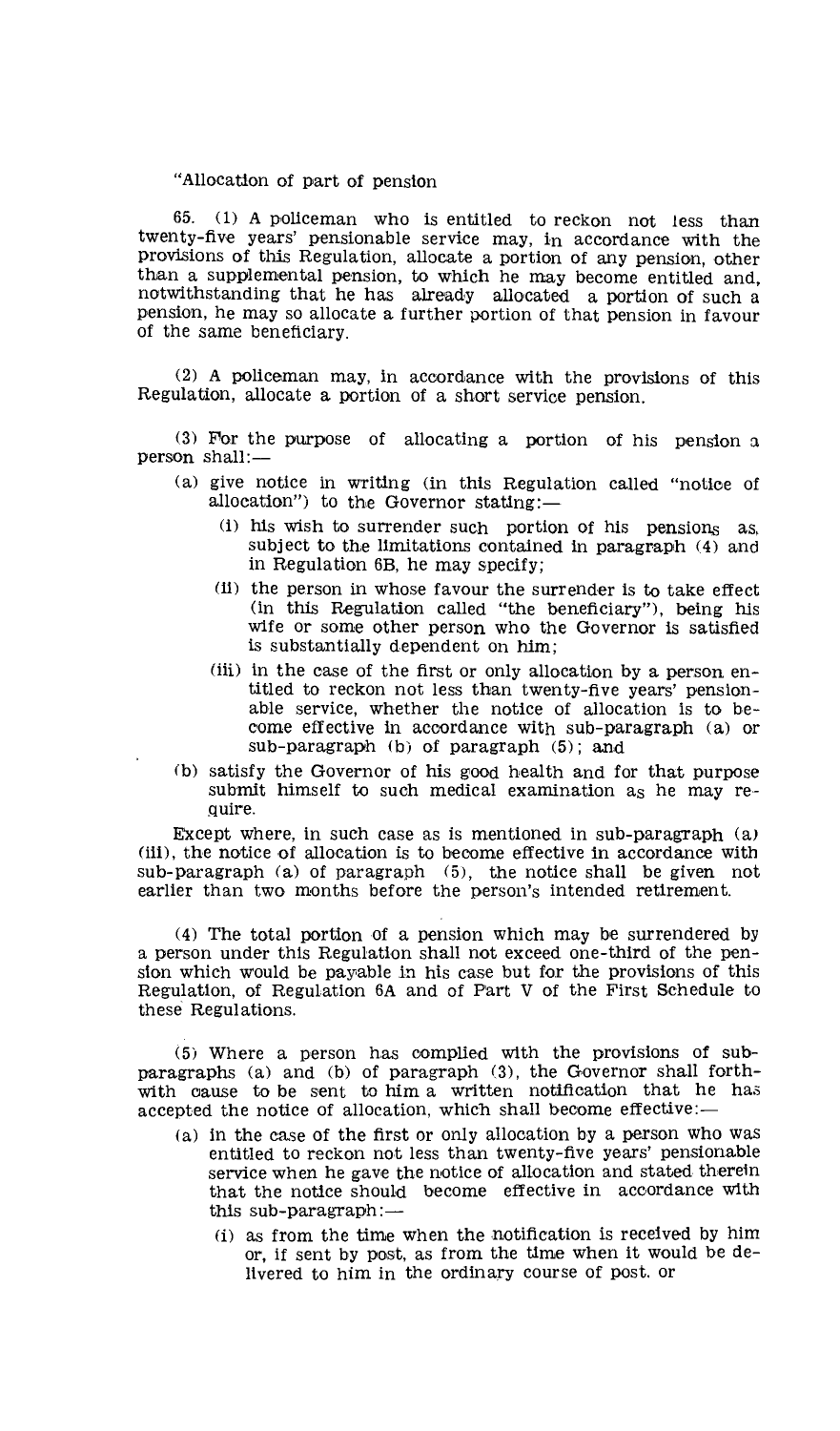## "Allocation of part of pension

65. (1) A policeman who is entitled to reckon not less than twenty-five years' pensionable service may, in accordance with the provisions of this Regulation, allocate a portion of any pension, other than a supplemental pension, to which he may become entitled and, notwithstanding that he has already allocated a portion of such a pension, he may so allocate a further portion of that pension in favour of the same beneficiary.

(2) A policeman may, in accordance with the provisions of this Regulation, allocate a portion of a short service pension.

(3) For the purpose of allocating a portion of his pension a person shall:—

- (a) give notice in writing (in this Regulation called "notice of allocation") to the Governor stating:—
	- (i) his wish to surrender such portion of his pensions as, subject to the limitations contained in paragraph (4) and in Regulation 6B, he may specify;
	- (ii) the person in whose favour the surrender is to take effect (in this Regulation called "the beneficiary"), being his wife or some other person who the Governor is satisfied is substantially dependent on him;
	- (iii) in the case of the first or only allocation by a person entitled to reckon not less than twenty-five years' pensionable service, whether the notice of allocation is to become effective in accordance with sub-paragraph (a) or sub-paragraph (b) of paragraph (5); and
- (b) satisfy the Governor of his good health and for that purpose submit himself to such medical examination as he may require.

Except where, in such case as is mentioned in sub-paragraph (a) (iii), the notice of allocation is to become effective in accordance with sub-paragraph (a) of paragraph (5), the notice shall be given not earlier than two months before the person's intended retirement.

(4) The total portion of a pension which may be surrendered by a person under this Regulation shall not exceed one-third of the pension which would be payable in his case but for the provisions of this Regulation, of Regulation 6A and of Part V of the First Schedule to these Regulations.

(5) Where a person has complied with the provisions of subparagraphs (a) and (b) of paragraph (3), the Governor shall forthwith cause to be sent to him a written notification that he has accepted the notice of allocation, which shall become effective:-

- (a) in the case of the first or only allocation by a person who was entitled to reckon not less than twenty-five years' pensionable service when he gave the notice of allocation and stated therein that the notice should become effective in accordance with this sub-paragraph: $-$ 
	- (i) as from the time when the notification is received by him or, if sent by post, as from the time when it would be delivered to him in the ordinary course of post. or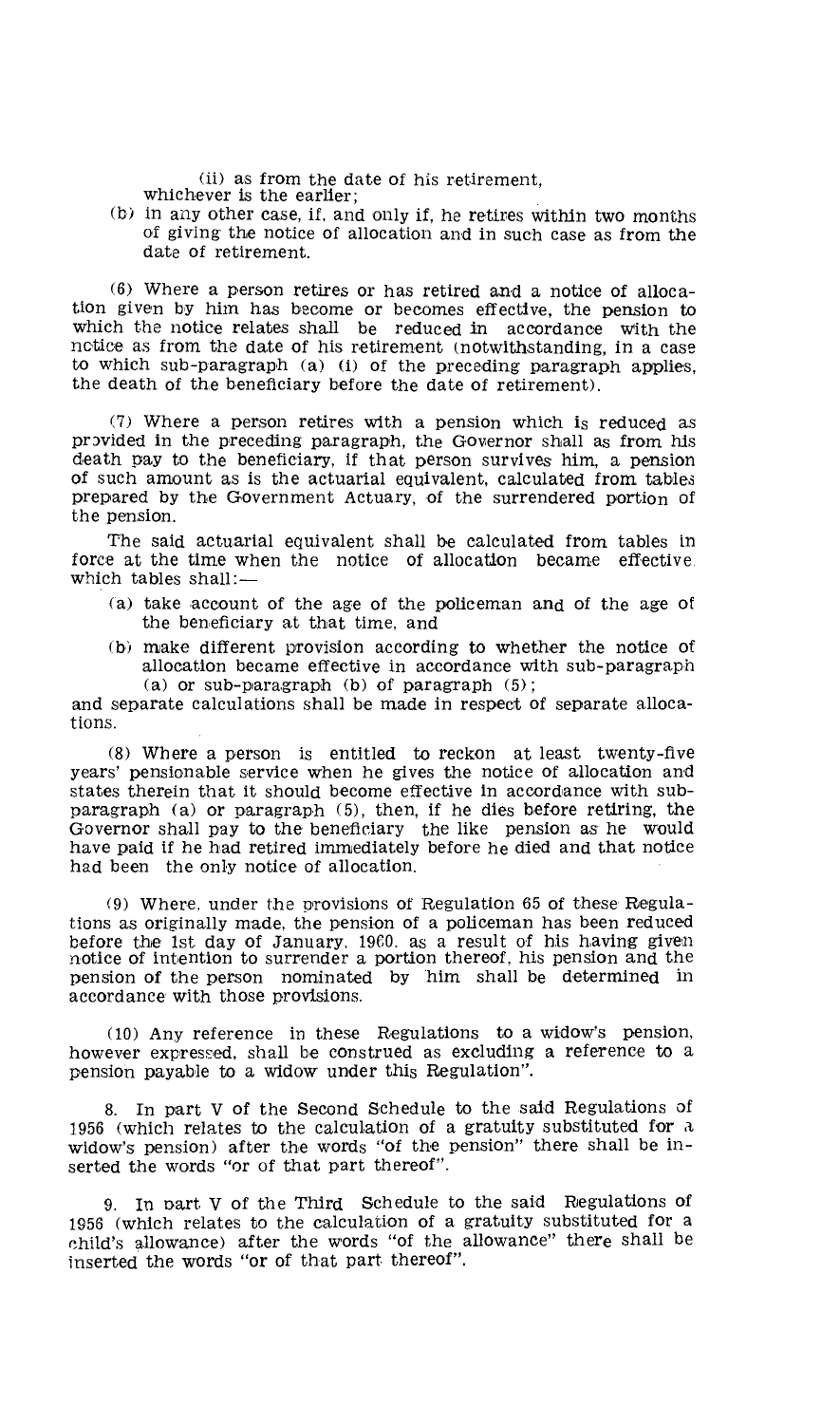(ii) as from the date of his retirement, whichever is the earlier;

- 
- (b) in any other case, if, and only if, he retires within two months of giving the notice of allocation and in such case as from the date of retirement.

(6) Where a person retires or has retired and a notice of allocation given by him has become or becomes effective, the pension to which the notice relates shall be reduced in accordance with the notice as from the date of his retirement (notwithstanding, in a case to which sub-paragraph (a) (i) of the preceding paragraph applies, the death of the beneficiary before the date of retirement).

(7) Where a person retires with a pension which is reduced as provided in the preceding paragraph, the Governor shall as from his death pay to the beneficiary, if that person survives him, a pension of such amount as is the actuarial equivalent, calculated from tables prepared by the Government Actuary, of the surrendered portion of the pension.

The said actuarial equivalent shall be calculated from tables in force at the time when the notice of allocation became effective which tables shall:—

- (a) take account of the age of the policeman and of the age of the beneficiary at that time, and
- (b) make different provision according to whether the notice of allocation became effective in accordance with sub-paragraph (a) or sub-paragraph (b) of paragraph  $(5)$ ;

and separate calculations shall be made in respect of separate allocations.

(8) Where a person is entitled to reckon at least twenty-five years' pensionable service when he gives the notice of allocation and states therein that it should become effective in accordance with subparagraph (a) or paragraph (5), then, if he dies before retiring, the Governor shall pay to the beneficiary the like pension as he would have paid if he had retired immediately before he died and that notice had been the only notice of allocation.

(9) Where, under the provisions of Regulation 65 of these Regulations as originally made, the pension of a policeman has been reduced before the 1st day of January, 19C0. as a result of his having given notice of intention to surrender a portion thereof, his pension and the pension of the person nominated by him shall be determined in accordance with those provisions.

(10) Any reference in these Regulations to a widow's pension, however expressed, shall be construed as excluding a reference to a pension payable to a widow under this Regulation".

8. In part V of the Second Schedule to the said Regulations of 7.956 (which relates to the calculation of a gratuity substituted for a widow's pension) after the words "of the pension" there shall be inserted the words "or of that part thereof".

9. In part V of the Third Schedule to the said Regulations of 1956 (which relates to the calculation of a gratuity substituted for a child's allowance) after the words "of the allowance" there shall be inserted the words "or of that part thereof".